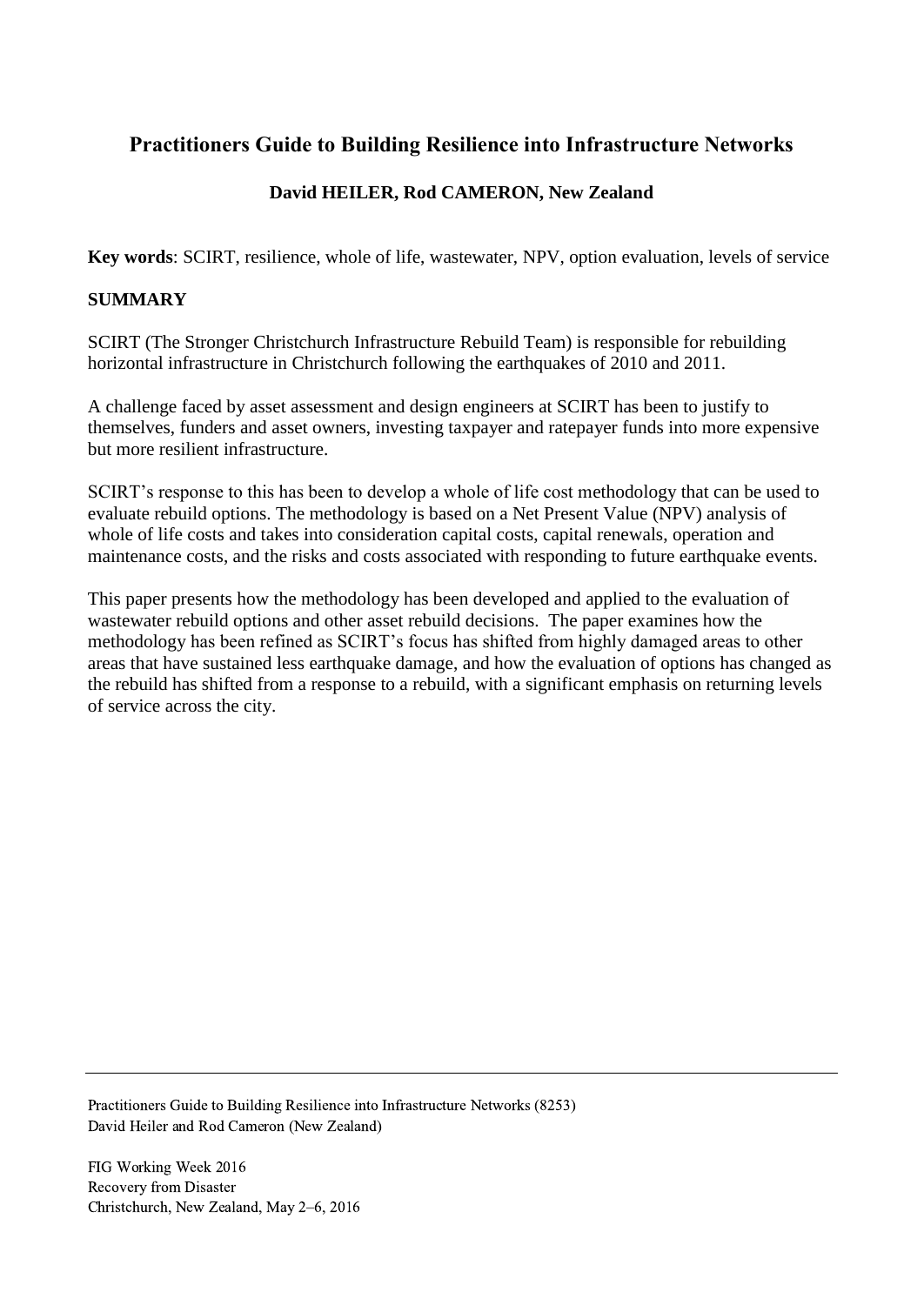# **Practitioners Guide to Building Resilience into Infrastructure Networks**

## **David HEILER, Rod CAMERON, New Zealand**

**Key words**: SCIRT, resilience, whole of life, wastewater, NPV, option evaluation, levels of service

#### **SUMMARY**

SCIRT (The Stronger Christchurch Infrastructure Rebuild Team) is responsible for rebuilding horizontal infrastructure in Christchurch following the earthquakes of 2010 and 2011.

A challenge faced by asset assessment and design engineers at SCIRT has been to justify to themselves, funders and asset owners, investing taxpayer and ratepayer funds into more expensive but more resilient infrastructure.

SCIRT's response to this has been to develop a whole of life cost methodology that can be used to evaluate rebuild options. The methodology is based on a Net Present Value (NPV) analysis of whole of life costs and takes into consideration capital costs, capital renewals, operation and maintenance costs, and the risks and costs associated with responding to future earthquake events.

This paper presents how the methodology has been developed and applied to the evaluation of wastewater rebuild options and other asset rebuild decisions. The paper examines how the methodology has been refined as SCIRT's focus has shifted from highly damaged areas to other areas that have sustained less earthquake damage, and how the evaluation of options has changed as the rebuild has shifted from a response to a rebuild, with a significant emphasis on returning levels of service across the city.

Practitioners Guide to Building Resilience into Infrastructure Networks (8253) David Heiler and Rod Cameron (New Zealand)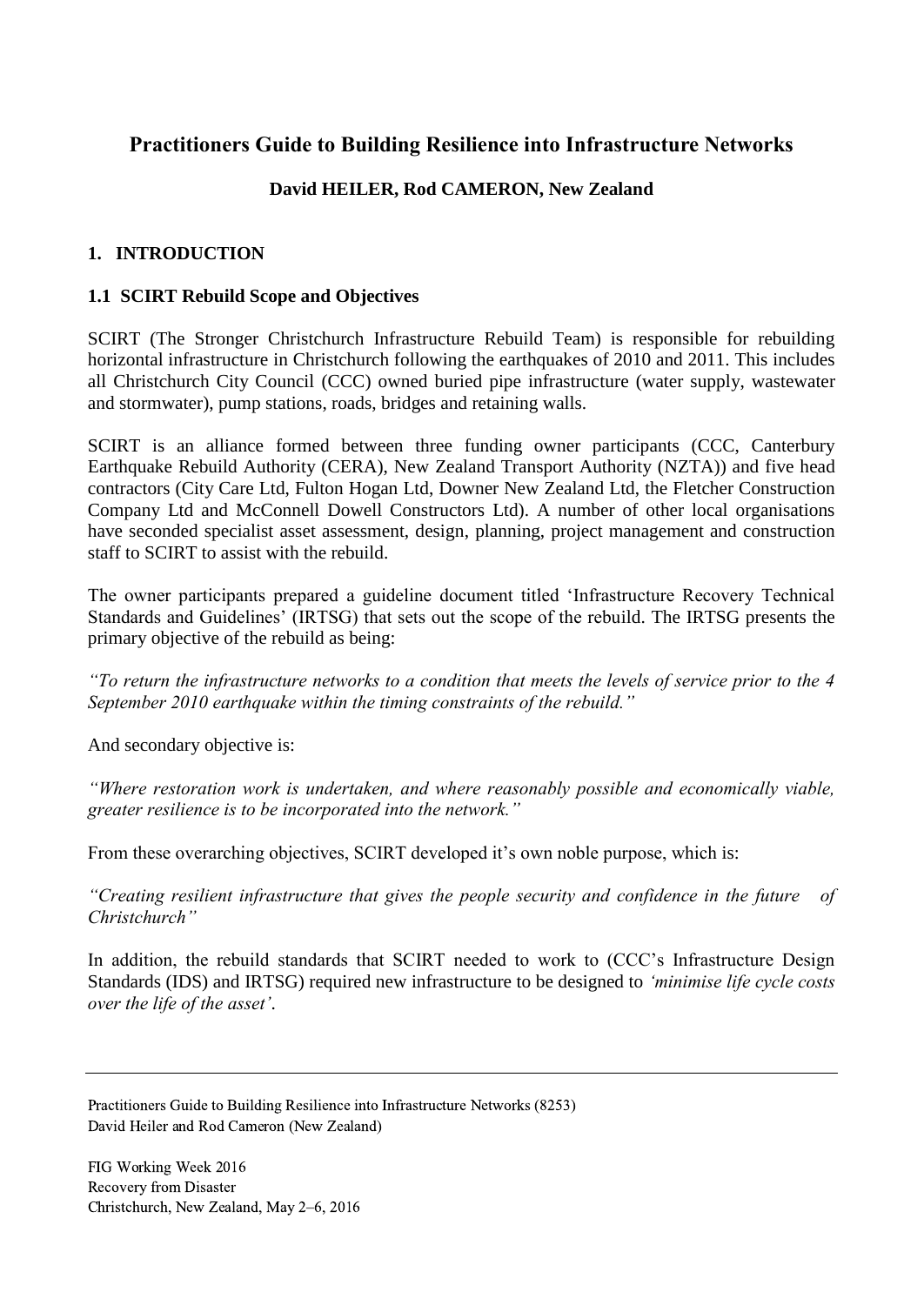# **Practitioners Guide to Building Resilience into Infrastructure Networks**

## **David HEILER, Rod CAMERON, New Zealand**

## **1. INTRODUCTION**

### **1.1 SCIRT Rebuild Scope and Objectives**

SCIRT (The Stronger Christchurch Infrastructure Rebuild Team) is responsible for rebuilding horizontal infrastructure in Christchurch following the earthquakes of 2010 and 2011. This includes all Christchurch City Council (CCC) owned buried pipe infrastructure (water supply, wastewater and stormwater), pump stations, roads, bridges and retaining walls.

SCIRT is an alliance formed between three funding owner participants (CCC, Canterbury Earthquake Rebuild Authority (CERA), New Zealand Transport Authority (NZTA)) and five head contractors (City Care Ltd, Fulton Hogan Ltd, Downer New Zealand Ltd, the Fletcher Construction Company Ltd and McConnell Dowell Constructors Ltd). A number of other local organisations have seconded specialist asset assessment, design, planning, project management and construction staff to SCIRT to assist with the rebuild.

The owner participants prepared a guideline document titled 'Infrastructure Recovery Technical Standards and Guidelines' (IRTSG) that sets out the scope of the rebuild. The IRTSG presents the primary objective of the rebuild as being:

*"To return the infrastructure networks to a condition that meets the levels of service prior to the 4 September 2010 earthquake within the timing constraints of the rebuild."*

And secondary objective is:

*"Where restoration work is undertaken, and where reasonably possible and economically viable, greater resilience is to be incorporated into the network."*

From these overarching objectives, SCIRT developed it's own noble purpose, which is:

*"Creating resilient infrastructure that gives the people security and confidence in the future of Christchurch"*

In addition, the rebuild standards that SCIRT needed to work to (CCC's Infrastructure Design Standards (IDS) and IRTSG) required new infrastructure to be designed to *'minimise life cycle costs over the life of the asset'*.

Practitioners Guide to Building Resilience into Infrastructure Networks (8253) David Heiler and Rod Cameron (New Zealand)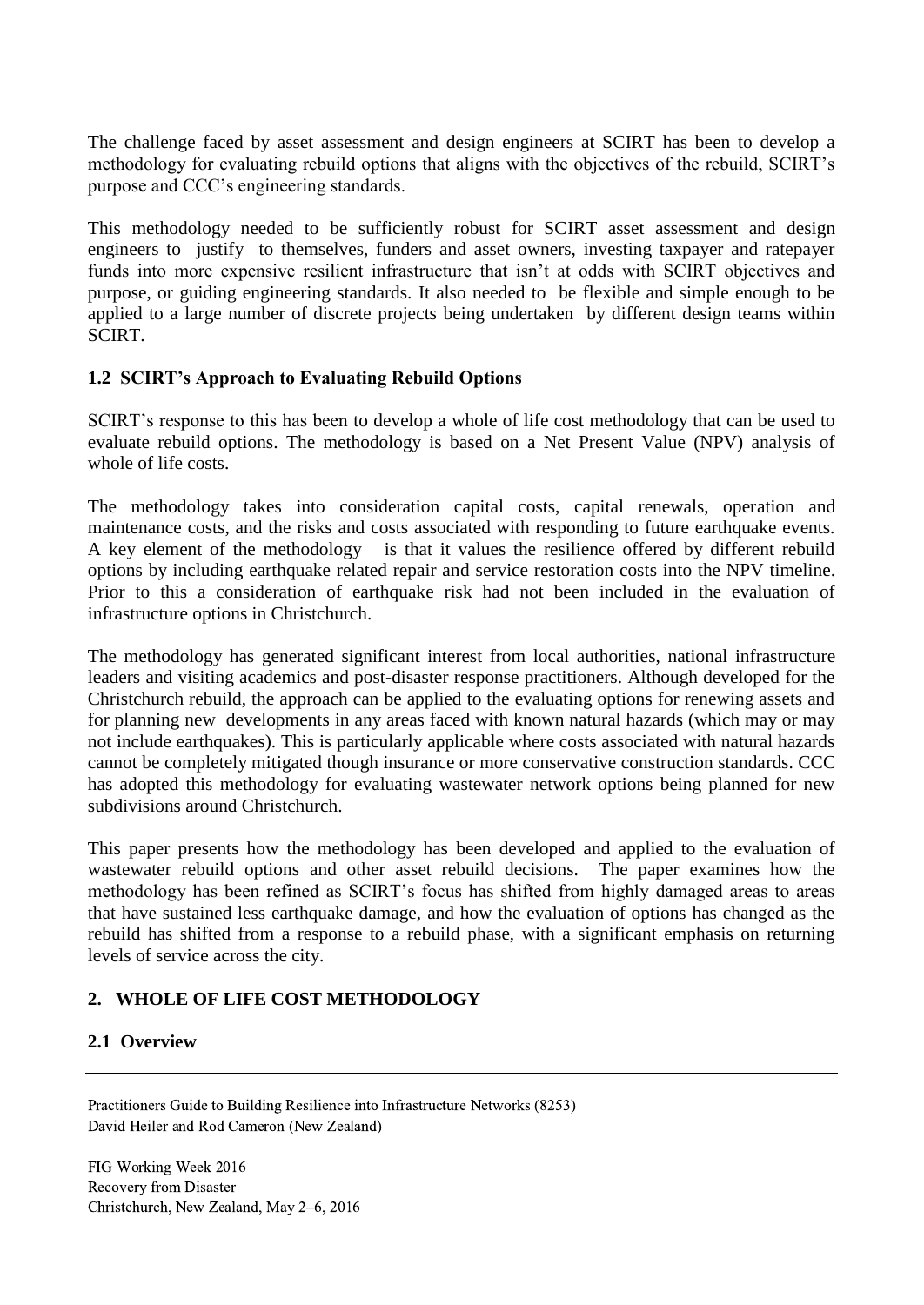The challenge faced by asset assessment and design engineers at SCIRT has been to develop a methodology for evaluating rebuild options that aligns with the objectives of the rebuild, SCIRT's purpose and CCC's engineering standards.

This methodology needed to be sufficiently robust for SCIRT asset assessment and design engineers to justify to themselves, funders and asset owners, investing taxpayer and ratepayer funds into more expensive resilient infrastructure that isn't at odds with SCIRT objectives and purpose, or guiding engineering standards. It also needed to be flexible and simple enough to be applied to a large number of discrete projects being undertaken by different design teams within SCIRT.

#### **1.2 SCIRT's Approach to Evaluating Rebuild Options**

SCIRT's response to this has been to develop a whole of life cost methodology that can be used to evaluate rebuild options. The methodology is based on a Net Present Value (NPV) analysis of whole of life costs.

The methodology takes into consideration capital costs, capital renewals, operation and maintenance costs, and the risks and costs associated with responding to future earthquake events. A key element of the methodology is that it values the resilience offered by different rebuild options by including earthquake related repair and service restoration costs into the NPV timeline. Prior to this a consideration of earthquake risk had not been included in the evaluation of infrastructure options in Christchurch.

The methodology has generated significant interest from local authorities, national infrastructure leaders and visiting academics and post-disaster response practitioners. Although developed for the Christchurch rebuild, the approach can be applied to the evaluating options for renewing assets and for planning new developments in any areas faced with known natural hazards (which may or may not include earthquakes). This is particularly applicable where costs associated with natural hazards cannot be completely mitigated though insurance or more conservative construction standards. CCC has adopted this methodology for evaluating wastewater network options being planned for new subdivisions around Christchurch.

This paper presents how the methodology has been developed and applied to the evaluation of wastewater rebuild options and other asset rebuild decisions. The paper examines how the methodology has been refined as SCIRT's focus has shifted from highly damaged areas to areas that have sustained less earthquake damage, and how the evaluation of options has changed as the rebuild has shifted from a response to a rebuild phase, with a significant emphasis on returning levels of service across the city.

## **2. WHOLE OF LIFE COST METHODOLOGY**

### **2.1 Overview**

Practitioners Guide to Building Resilience into Infrastructure Networks (8253) David Heiler and Rod Cameron (New Zealand)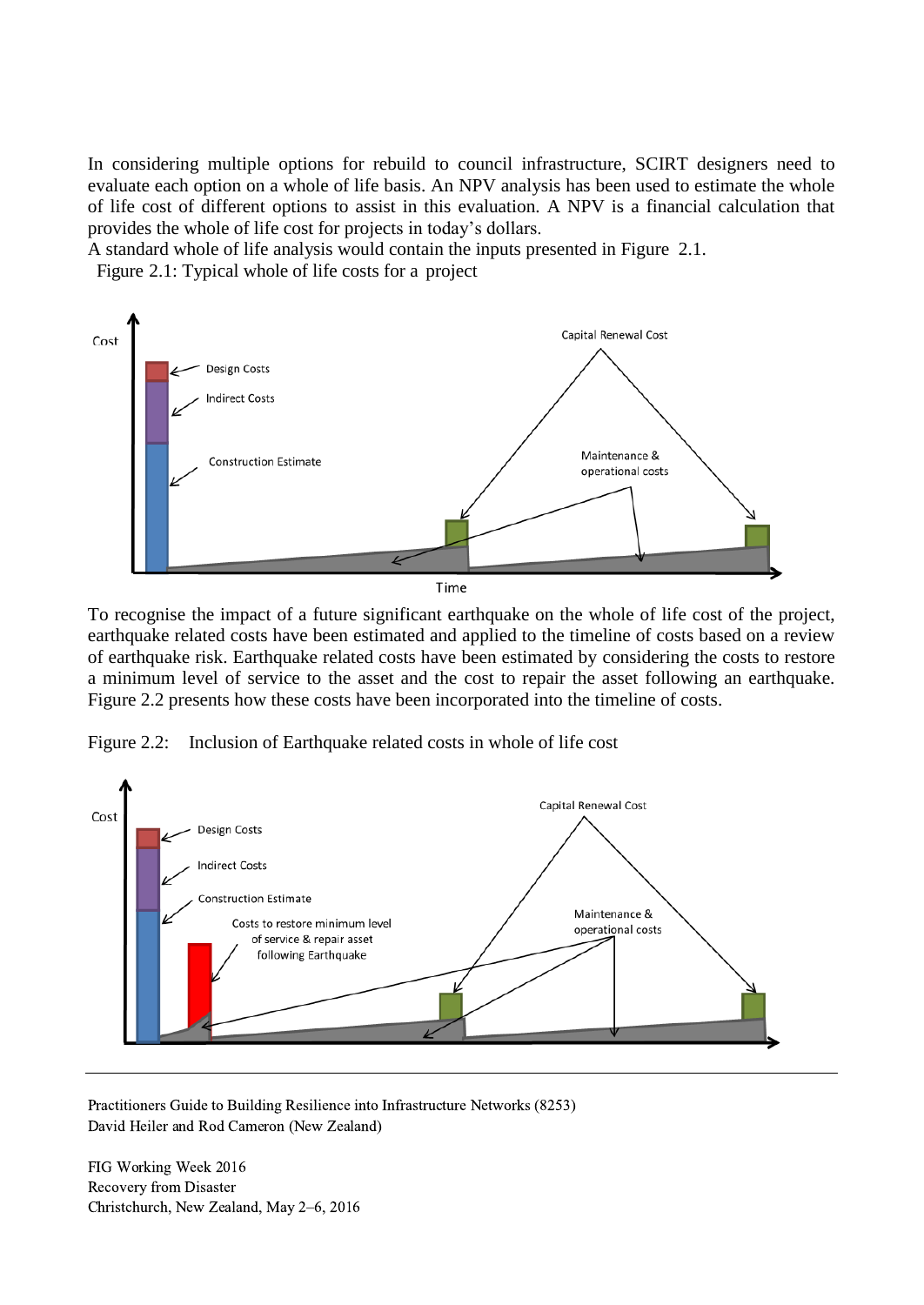In considering multiple options for rebuild to council infrastructure, SCIRT designers need to evaluate each option on a whole of life basis. An NPV analysis has been used to estimate the whole of life cost of different options to assist in this evaluation. A NPV is a financial calculation that provides the whole of life cost for projects in today's dollars.

A standard whole of life analysis would contain the inputs presented in Figure 2.1.

Figure 2.1: Typical whole of life costs for a project



To recognise the impact of a future significant earthquake on the whole of life cost of the project, earthquake related costs have been estimated and applied to the timeline of costs based on a review of earthquake risk. Earthquake related costs have been estimated by considering the costs to restore a minimum level of service to the asset and the cost to repair the asset following an earthquake. Figure 2.2 presents how these costs have been incorporated into the timeline of costs.

Figure 2.2: Inclusion of Earthquake related costs in whole of life cost



Practitioners Guide to Building Resilience into Infrastructure Networks (8253) David Heiler and Rod Cameron (New Zealand)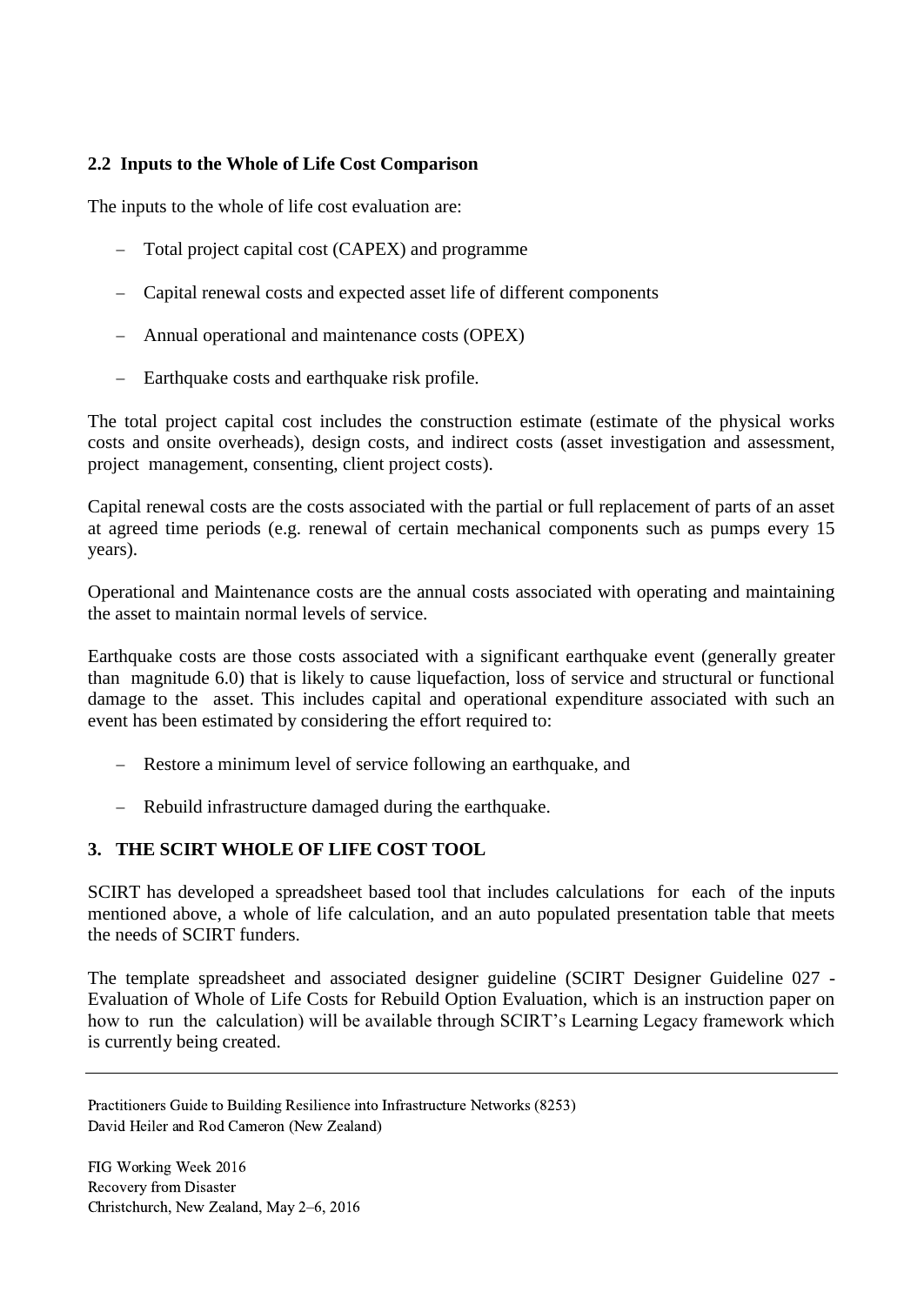### **2.2 Inputs to the Whole of Life Cost Comparison**

The inputs to the whole of life cost evaluation are:

- Total project capital cost (CAPEX) and programme
- Capital renewal costs and expected asset life of different components
- Annual operational and maintenance costs (OPEX)
- Earthquake costs and earthquake risk profile.

The total project capital cost includes the construction estimate (estimate of the physical works costs and onsite overheads), design costs, and indirect costs (asset investigation and assessment, project management, consenting, client project costs).

Capital renewal costs are the costs associated with the partial or full replacement of parts of an asset at agreed time periods (e.g. renewal of certain mechanical components such as pumps every 15 years).

Operational and Maintenance costs are the annual costs associated with operating and maintaining the asset to maintain normal levels of service.

Earthquake costs are those costs associated with a significant earthquake event (generally greater than magnitude 6.0) that is likely to cause liquefaction, loss of service and structural or functional damage to the asset. This includes capital and operational expenditure associated with such an event has been estimated by considering the effort required to:

- Restore a minimum level of service following an earthquake, and
- Rebuild infrastructure damaged during the earthquake.

### **3. THE SCIRT WHOLE OF LIFE COST TOOL**

SCIRT has developed a spreadsheet based tool that includes calculations for each of the inputs mentioned above, a whole of life calculation, and an auto populated presentation table that meets the needs of SCIRT funders.

The template spreadsheet and associated designer guideline (SCIRT Designer Guideline 027 - Evaluation of Whole of Life Costs for Rebuild Option Evaluation, which is an instruction paper on how to run the calculation) will be available through SCIRT's Learning Legacy framework which is currently being created.

Practitioners Guide to Building Resilience into Infrastructure Networks (8253) David Heiler and Rod Cameron (New Zealand)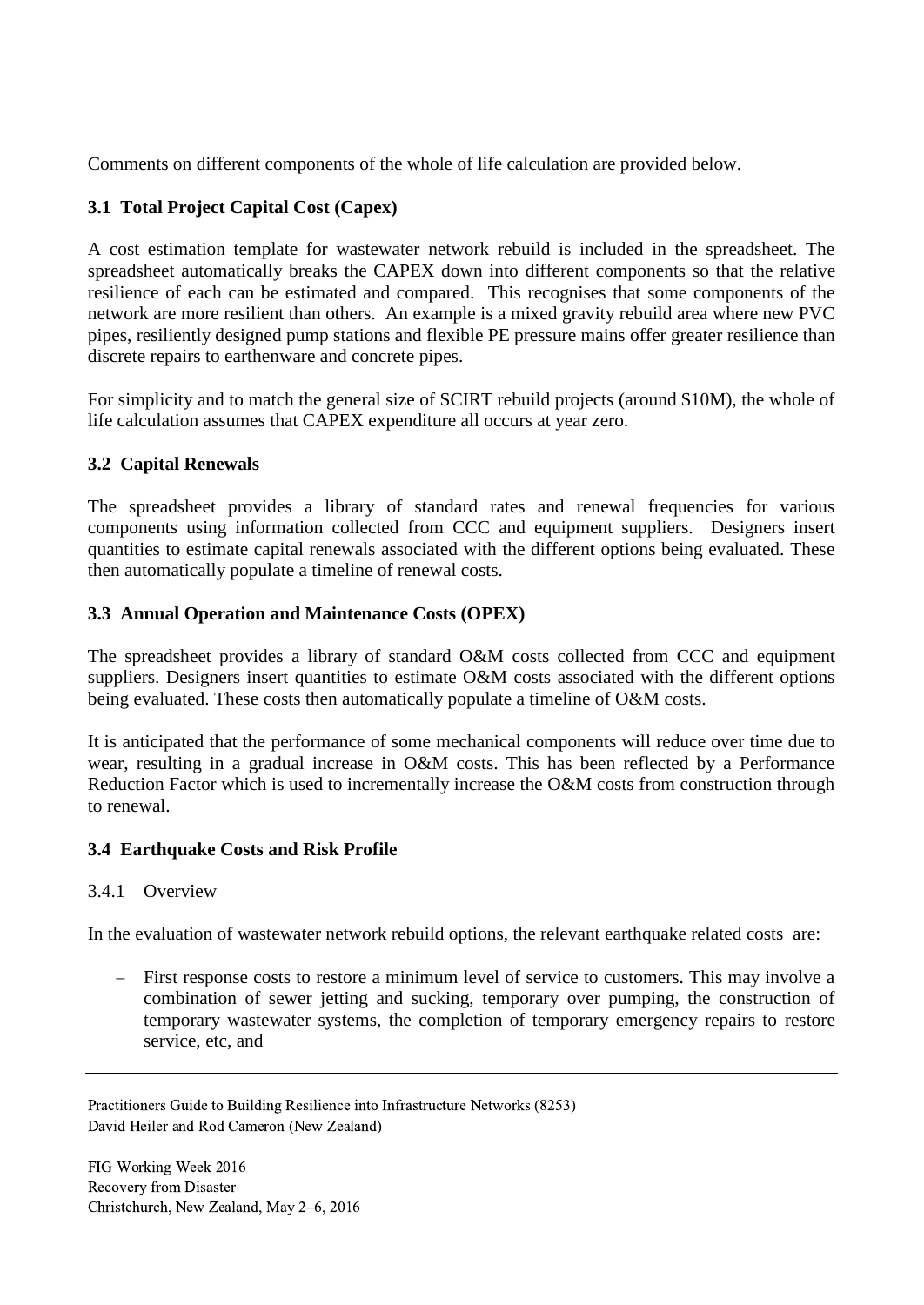Comments on different components of the whole of life calculation are provided below.

### **3.1 Total Project Capital Cost (Capex)**

A cost estimation template for wastewater network rebuild is included in the spreadsheet. The spreadsheet automatically breaks the CAPEX down into different components so that the relative resilience of each can be estimated and compared. This recognises that some components of the network are more resilient than others. An example is a mixed gravity rebuild area where new PVC pipes, resiliently designed pump stations and flexible PE pressure mains offer greater resilience than discrete repairs to earthenware and concrete pipes.

For simplicity and to match the general size of SCIRT rebuild projects (around \$10M), the whole of life calculation assumes that CAPEX expenditure all occurs at year zero.

### **3.2 Capital Renewals**

The spreadsheet provides a library of standard rates and renewal frequencies for various components using information collected from CCC and equipment suppliers. Designers insert quantities to estimate capital renewals associated with the different options being evaluated. These then automatically populate a timeline of renewal costs.

#### **3.3 Annual Operation and Maintenance Costs (OPEX)**

The spreadsheet provides a library of standard O&M costs collected from CCC and equipment suppliers. Designers insert quantities to estimate O&M costs associated with the different options being evaluated. These costs then automatically populate a timeline of O&M costs.

It is anticipated that the performance of some mechanical components will reduce over time due to wear, resulting in a gradual increase in O&M costs. This has been reflected by a Performance Reduction Factor which is used to incrementally increase the O&M costs from construction through to renewal.

#### **3.4 Earthquake Costs and Risk Profile**

#### 3.4.1 Overview

In the evaluation of wastewater network rebuild options, the relevant earthquake related costs are:

 First response costs to restore a minimum level of service to customers. This may involve a combination of sewer jetting and sucking, temporary over pumping, the construction of temporary wastewater systems, the completion of temporary emergency repairs to restore service, etc, and

Practitioners Guide to Building Resilience into Infrastructure Networks (8253) David Heiler and Rod Cameron (New Zealand)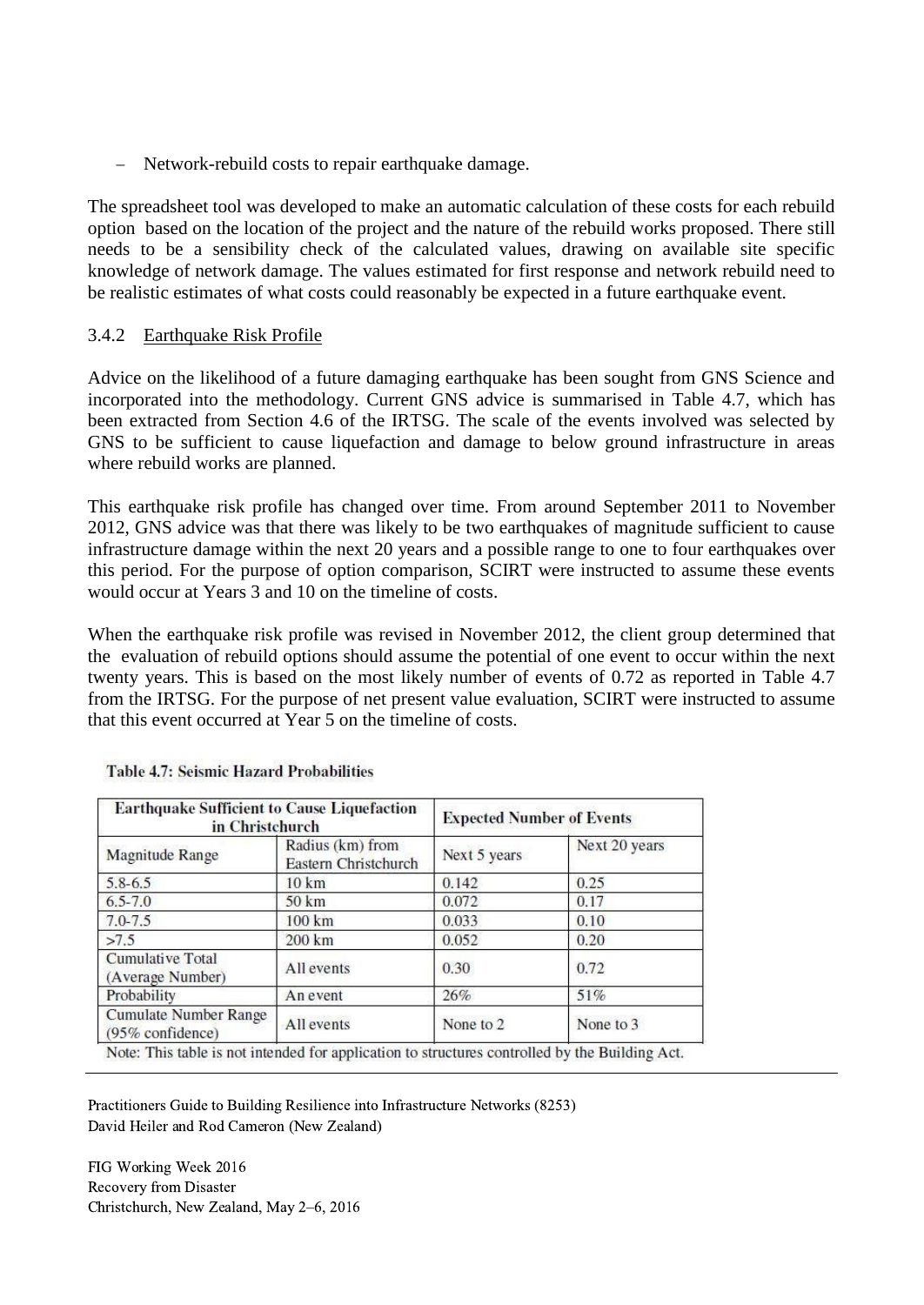- Network-rebuild costs to repair earthquake damage.

The spreadsheet tool was developed to make an automatic calculation of these costs for each rebuild option based on the location of the project and the nature of the rebuild works proposed. There still needs to be a sensibility check of the calculated values, drawing on available site specific knowledge of network damage. The values estimated for first response and network rebuild need to be realistic estimates of what costs could reasonably be expected in a future earthquake event.

#### 3.4.2 Earthquake Risk Profile

Advice on the likelihood of a future damaging earthquake has been sought from GNS Science and incorporated into the methodology. Current GNS advice is summarised in Table 4.7, which has been extracted from Section 4.6 of the IRTSG. The scale of the events involved was selected by GNS to be sufficient to cause liquefaction and damage to below ground infrastructure in areas where rebuild works are planned.

This earthquake risk profile has changed over time. From around September 2011 to November 2012, GNS advice was that there was likely to be two earthquakes of magnitude sufficient to cause infrastructure damage within the next 20 years and a possible range to one to four earthquakes over this period. For the purpose of option comparison, SCIRT were instructed to assume these events would occur at Years 3 and 10 on the timeline of costs.

When the earthquake risk profile was revised in November 2012, the client group determined that the evaluation of rebuild options should assume the potential of one event to occur within the next twenty years. This is based on the most likely number of events of 0.72 as reported in Table 4.7 from the IRTSG. For the purpose of net present value evaluation, SCIRT were instructed to assume that this event occurred at Year 5 on the timeline of costs.

| <b>Earthquake Sufficient to Cause Liquefaction</b><br>in Christchurch |                                          | <b>Expected Number of Events</b> |               |
|-----------------------------------------------------------------------|------------------------------------------|----------------------------------|---------------|
| Magnitude Range                                                       | Radius (km) from<br>Eastern Christchurch | Next 5 years                     | Next 20 years |
| $5.8 - 6.5$                                                           | $10 \text{ km}$                          | 0.142                            | 0.25          |
| $6.5 - 7.0$                                                           | 50 km                                    | 0.072                            | 0.17          |
| $7.0 - 7.5$                                                           | $100 \mathrm{km}$                        | 0.033                            | 0.10          |
| >7.5                                                                  | 200 km                                   | 0.052                            | 0.20          |
| <b>Cumulative Total</b><br>(Average Number)                           | All events                               | 0.30                             | 0.72          |
| Probability                                                           | An event                                 | 26%                              | 51%           |
| <b>Cumulate Number Range</b><br>(95% confidence)                      | All events                               | None to 2                        | None to 3     |

**Table 4.7: Seismic Hazard Probabilities** 

ote: This table is not intended for application to structures controlled by the Building Act.

Practitioners Guide to Building Resilience into Infrastructure Networks (8253) David Heiler and Rod Cameron (New Zealand)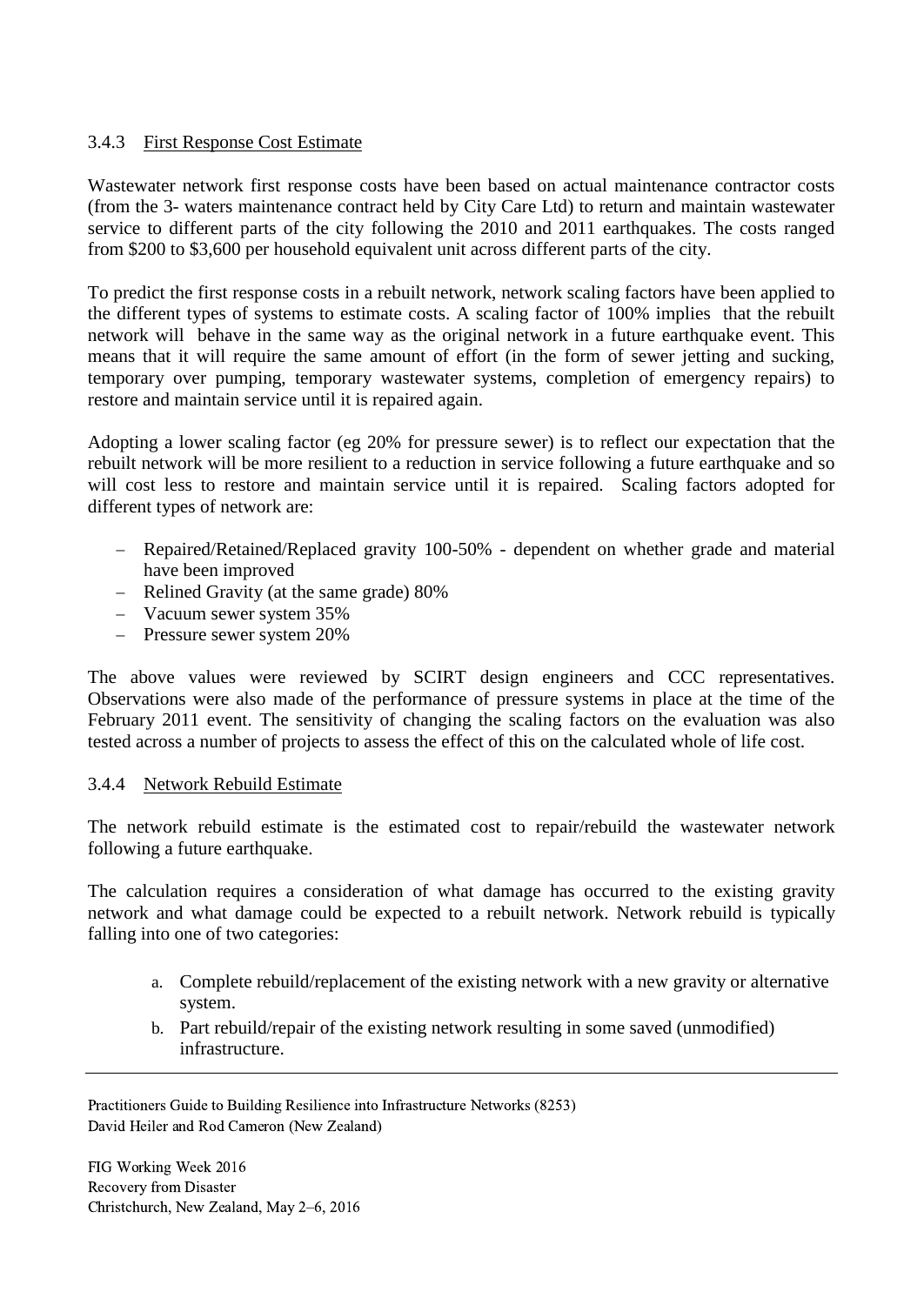#### 3.4.3 First Response Cost Estimate

Wastewater network first response costs have been based on actual maintenance contractor costs (from the 3- waters maintenance contract held by City Care Ltd) to return and maintain wastewater service to different parts of the city following the 2010 and 2011 earthquakes. The costs ranged from \$200 to \$3,600 per household equivalent unit across different parts of the city.

To predict the first response costs in a rebuilt network, network scaling factors have been applied to the different types of systems to estimate costs. A scaling factor of 100% implies that the rebuilt network will behave in the same way as the original network in a future earthquake event. This means that it will require the same amount of effort (in the form of sewer jetting and sucking, temporary over pumping, temporary wastewater systems, completion of emergency repairs) to restore and maintain service until it is repaired again.

Adopting a lower scaling factor (eg 20% for pressure sewer) is to reflect our expectation that the rebuilt network will be more resilient to a reduction in service following a future earthquake and so will cost less to restore and maintain service until it is repaired. Scaling factors adopted for different types of network are:

- Repaired/Retained/Replaced gravity 100-50% dependent on whether grade and material have been improved
- Relined Gravity (at the same grade) 80%
- Vacuum sewer system 35%
- Pressure sewer system 20%

The above values were reviewed by SCIRT design engineers and CCC representatives. Observations were also made of the performance of pressure systems in place at the time of the February 2011 event. The sensitivity of changing the scaling factors on the evaluation was also tested across a number of projects to assess the effect of this on the calculated whole of life cost.

#### 3.4.4 Network Rebuild Estimate

The network rebuild estimate is the estimated cost to repair/rebuild the wastewater network following a future earthquake.

The calculation requires a consideration of what damage has occurred to the existing gravity network and what damage could be expected to a rebuilt network. Network rebuild is typically falling into one of two categories:

- a. Complete rebuild/replacement of the existing network with a new gravity or alternative system.
- b. Part rebuild/repair of the existing network resulting in some saved (unmodified) infrastructure.

Practitioners Guide to Building Resilience into Infrastructure Networks (8253) David Heiler and Rod Cameron (New Zealand)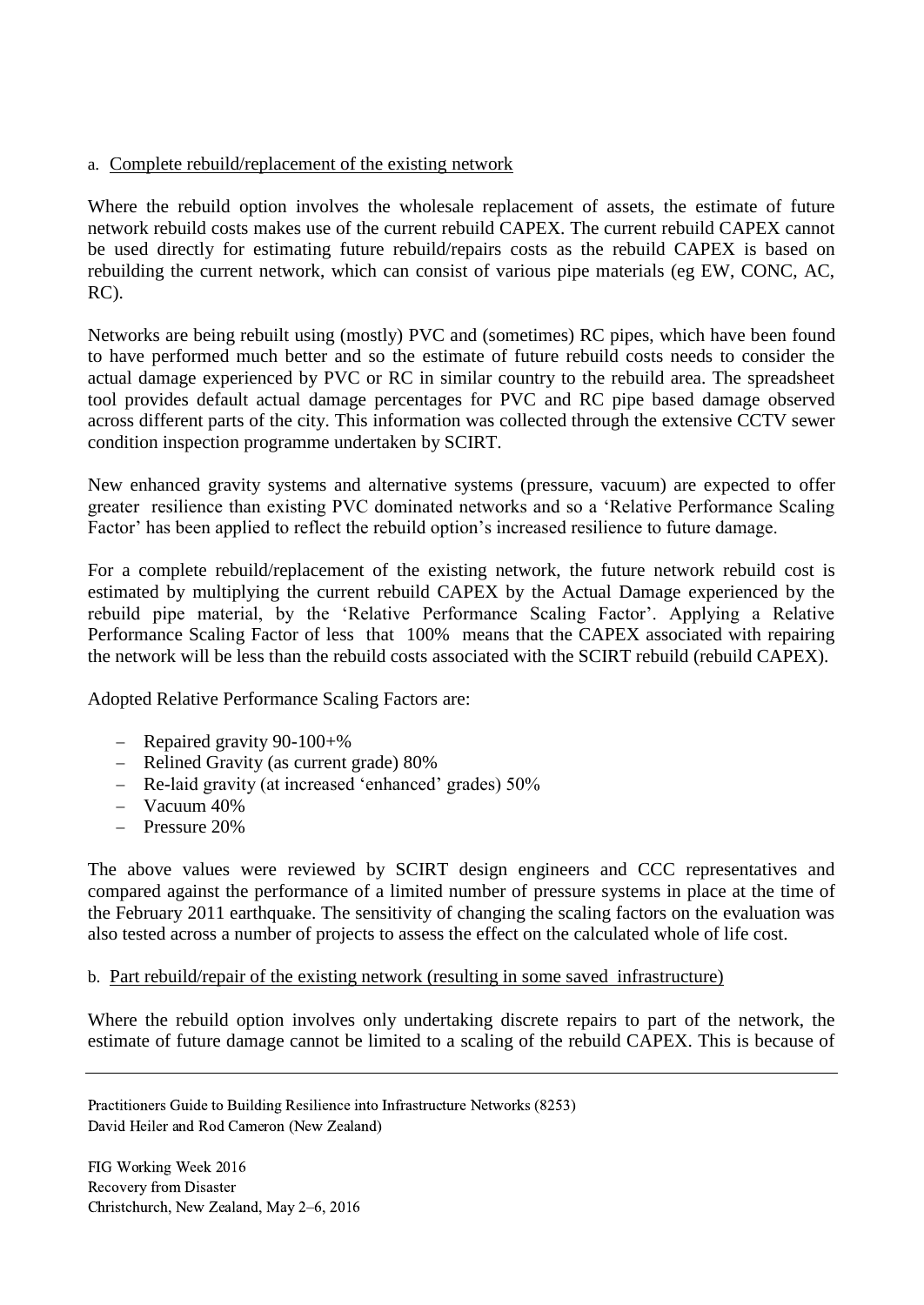#### a. Complete rebuild/replacement of the existing network

Where the rebuild option involves the wholesale replacement of assets, the estimate of future network rebuild costs makes use of the current rebuild CAPEX. The current rebuild CAPEX cannot be used directly for estimating future rebuild/repairs costs as the rebuild CAPEX is based on rebuilding the current network, which can consist of various pipe materials (eg EW, CONC, AC, RC).

Networks are being rebuilt using (mostly) PVC and (sometimes) RC pipes, which have been found to have performed much better and so the estimate of future rebuild costs needs to consider the actual damage experienced by PVC or RC in similar country to the rebuild area. The spreadsheet tool provides default actual damage percentages for PVC and RC pipe based damage observed across different parts of the city. This information was collected through the extensive CCTV sewer condition inspection programme undertaken by SCIRT.

New enhanced gravity systems and alternative systems (pressure, vacuum) are expected to offer greater resilience than existing PVC dominated networks and so a 'Relative Performance Scaling Factor' has been applied to reflect the rebuild option's increased resilience to future damage.

For a complete rebuild/replacement of the existing network, the future network rebuild cost is estimated by multiplying the current rebuild CAPEX by the Actual Damage experienced by the rebuild pipe material, by the 'Relative Performance Scaling Factor'. Applying a Relative Performance Scaling Factor of less that 100% means that the CAPEX associated with repairing the network will be less than the rebuild costs associated with the SCIRT rebuild (rebuild CAPEX).

Adopted Relative Performance Scaling Factors are:

- Repaired gravity  $90-100+\%$
- Relined Gravity (as current grade) 80%
- Re-laid gravity (at increased 'enhanced' grades) 50%
- $-$  Vacuum 40%
- Pressure 20%

The above values were reviewed by SCIRT design engineers and CCC representatives and compared against the performance of a limited number of pressure systems in place at the time of the February 2011 earthquake. The sensitivity of changing the scaling factors on the evaluation was also tested across a number of projects to assess the effect on the calculated whole of life cost.

#### b. Part rebuild/repair of the existing network (resulting in some saved infrastructure)

Where the rebuild option involves only undertaking discrete repairs to part of the network, the estimate of future damage cannot be limited to a scaling of the rebuild CAPEX. This is because of

Practitioners Guide to Building Resilience into Infrastructure Networks (8253) David Heiler and Rod Cameron (New Zealand)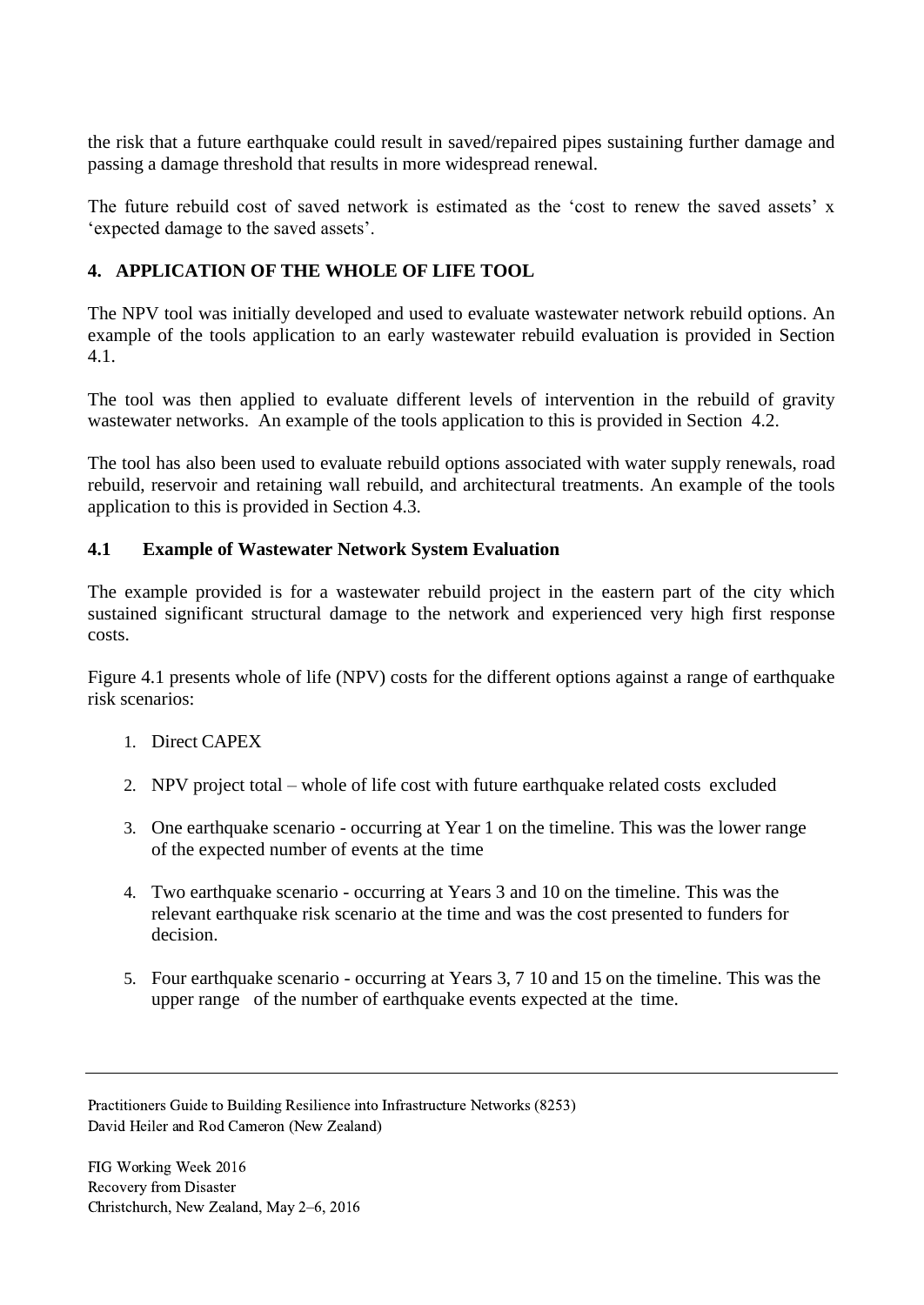the risk that a future earthquake could result in saved/repaired pipes sustaining further damage and passing a damage threshold that results in more widespread renewal.

The future rebuild cost of saved network is estimated as the 'cost to renew the saved assets' x 'expected damage to the saved assets'.

### **4. APPLICATION OF THE WHOLE OF LIFE TOOL**

The NPV tool was initially developed and used to evaluate wastewater network rebuild options. An example of the tools application to an early wastewater rebuild evaluation is provided in Section 4.1.

The tool was then applied to evaluate different levels of intervention in the rebuild of gravity wastewater networks. An example of the tools application to this is provided in Section 4.2.

The tool has also been used to evaluate rebuild options associated with water supply renewals, road rebuild, reservoir and retaining wall rebuild, and architectural treatments. An example of the tools application to this is provided in Section 4.3.

### **4.1 Example of Wastewater Network System Evaluation**

The example provided is for a wastewater rebuild project in the eastern part of the city which sustained significant structural damage to the network and experienced very high first response costs.

Figure 4.1 presents whole of life (NPV) costs for the different options against a range of earthquake risk scenarios:

- 1. Direct CAPEX
- 2. NPV project total whole of life cost with future earthquake related costs excluded
- 3. One earthquake scenario occurring at Year 1 on the timeline. This was the lower range of the expected number of events at the time
- 4. Two earthquake scenario occurring at Years 3 and 10 on the timeline. This was the relevant earthquake risk scenario at the time and was the cost presented to funders for decision.
- 5. Four earthquake scenario occurring at Years 3, 7 10 and 15 on the timeline. This was the upper range of the number of earthquake events expected at the time.

Practitioners Guide to Building Resilience into Infrastructure Networks (8253) David Heiler and Rod Cameron (New Zealand)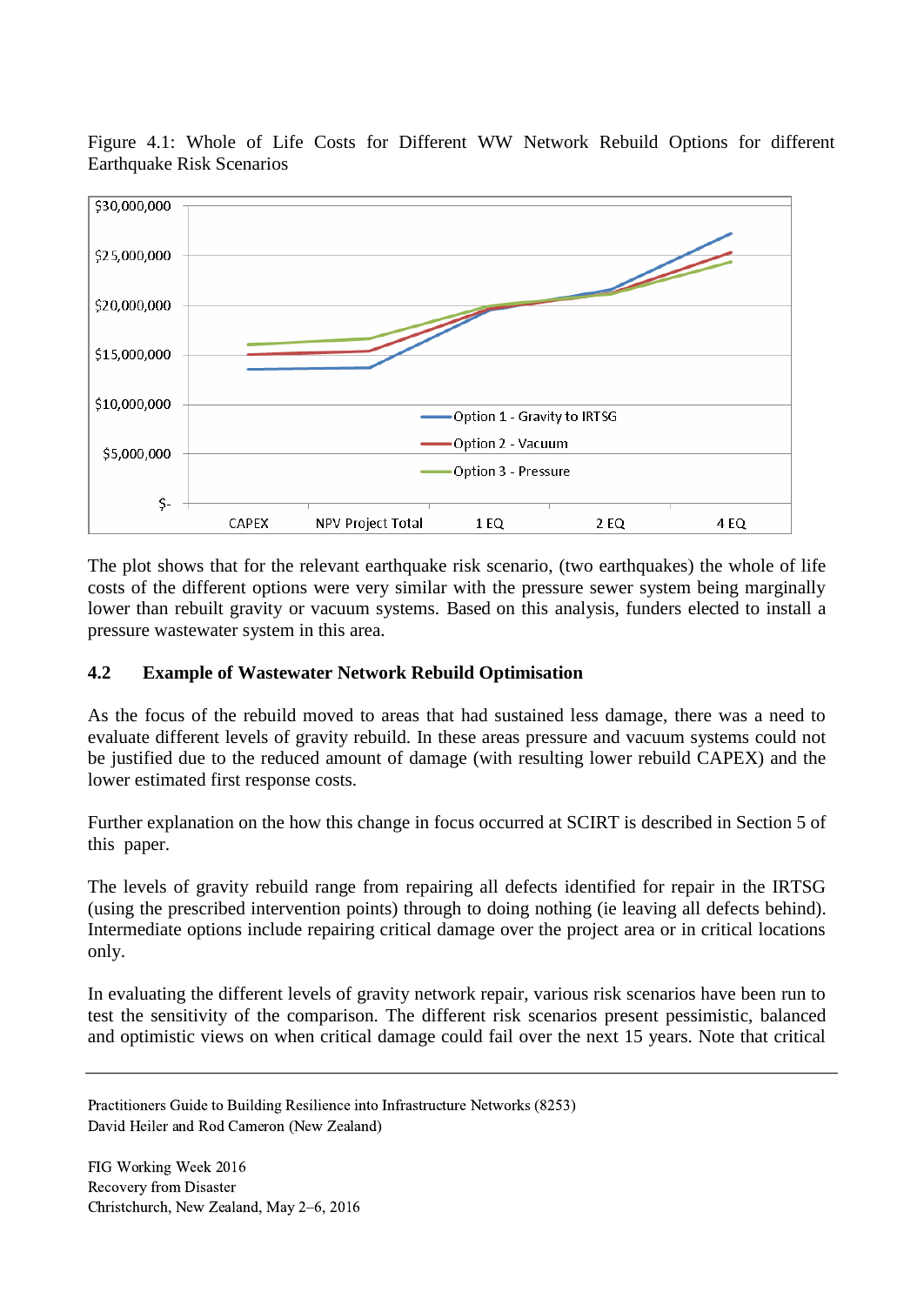

Figure 4.1: Whole of Life Costs for Different WW Network Rebuild Options for different Earthquake Risk Scenarios

The plot shows that for the relevant earthquake risk scenario, (two earthquakes) the whole of life costs of the different options were very similar with the pressure sewer system being marginally lower than rebuilt gravity or vacuum systems. Based on this analysis, funders elected to install a pressure wastewater system in this area.

### **4.2 Example of Wastewater Network Rebuild Optimisation**

As the focus of the rebuild moved to areas that had sustained less damage, there was a need to evaluate different levels of gravity rebuild. In these areas pressure and vacuum systems could not be justified due to the reduced amount of damage (with resulting lower rebuild CAPEX) and the lower estimated first response costs.

Further explanation on the how this change in focus occurred at SCIRT is described in Section 5 of this paper.

The levels of gravity rebuild range from repairing all defects identified for repair in the IRTSG (using the prescribed intervention points) through to doing nothing (ie leaving all defects behind). Intermediate options include repairing critical damage over the project area or in critical locations only.

In evaluating the different levels of gravity network repair, various risk scenarios have been run to test the sensitivity of the comparison. The different risk scenarios present pessimistic, balanced and optimistic views on when critical damage could fail over the next 15 years. Note that critical

Practitioners Guide to Building Resilience into Infrastructure Networks (8253) David Heiler and Rod Cameron (New Zealand)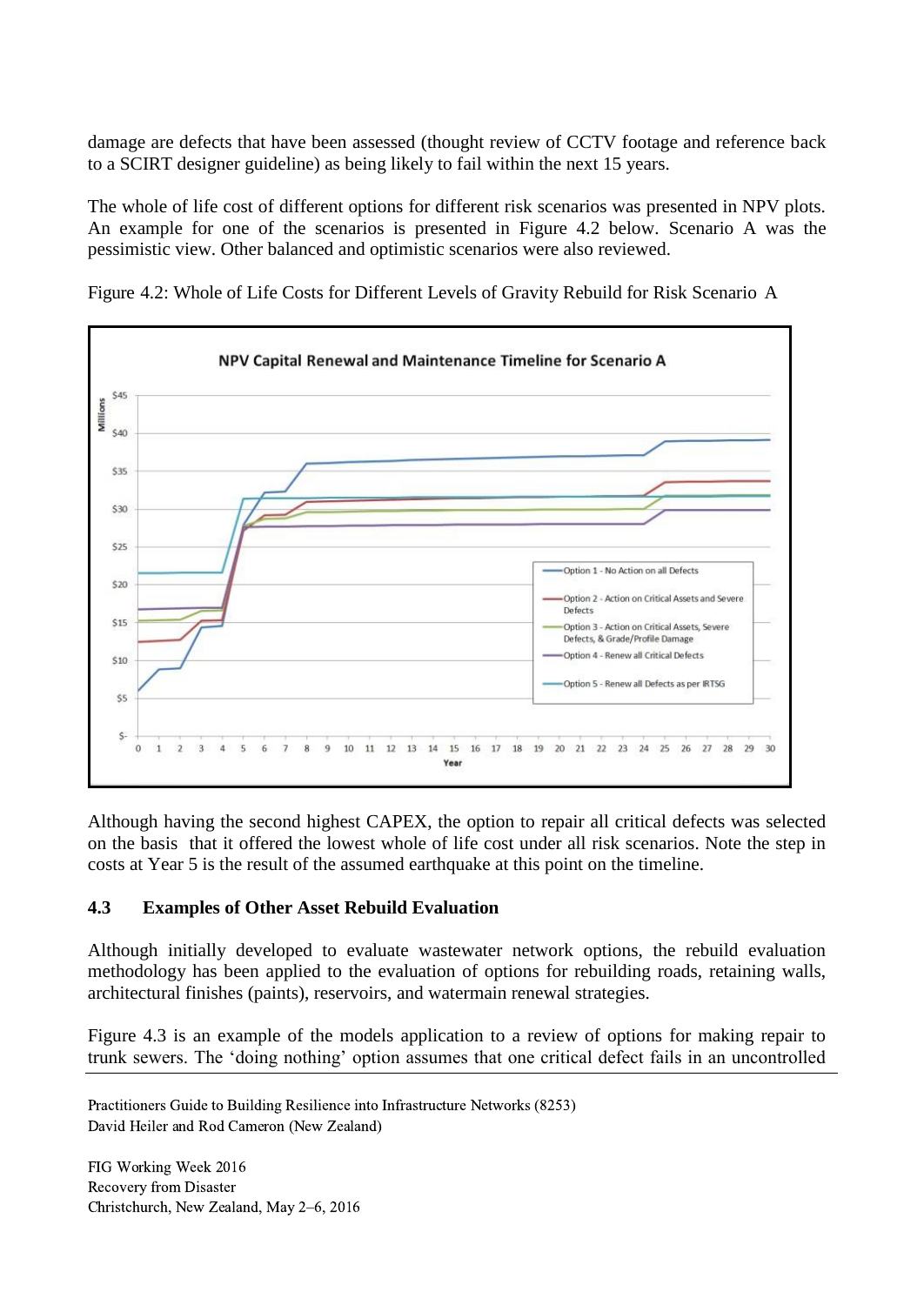damage are defects that have been assessed (thought review of CCTV footage and reference back to a SCIRT designer guideline) as being likely to fail within the next 15 years.

The whole of life cost of different options for different risk scenarios was presented in NPV plots. An example for one of the scenarios is presented in Figure 4.2 below. Scenario A was the pessimistic view. Other balanced and optimistic scenarios were also reviewed.



Figure 4.2: Whole of Life Costs for Different Levels of Gravity Rebuild for Risk Scenario A

Although having the second highest CAPEX, the option to repair all critical defects was selected on the basis that it offered the lowest whole of life cost under all risk scenarios. Note the step in costs at Year 5 is the result of the assumed earthquake at this point on the timeline.

#### **4.3 Examples of Other Asset Rebuild Evaluation**

Although initially developed to evaluate wastewater network options, the rebuild evaluation methodology has been applied to the evaluation of options for rebuilding roads, retaining walls, architectural finishes (paints), reservoirs, and watermain renewal strategies.

Figure 4.3 is an example of the models application to a review of options for making repair to trunk sewers. The 'doing nothing' option assumes that one critical defect fails in an uncontrolled

Practitioners Guide to Building Resilience into Infrastructure Networks (8253) David Heiler and Rod Cameron (New Zealand)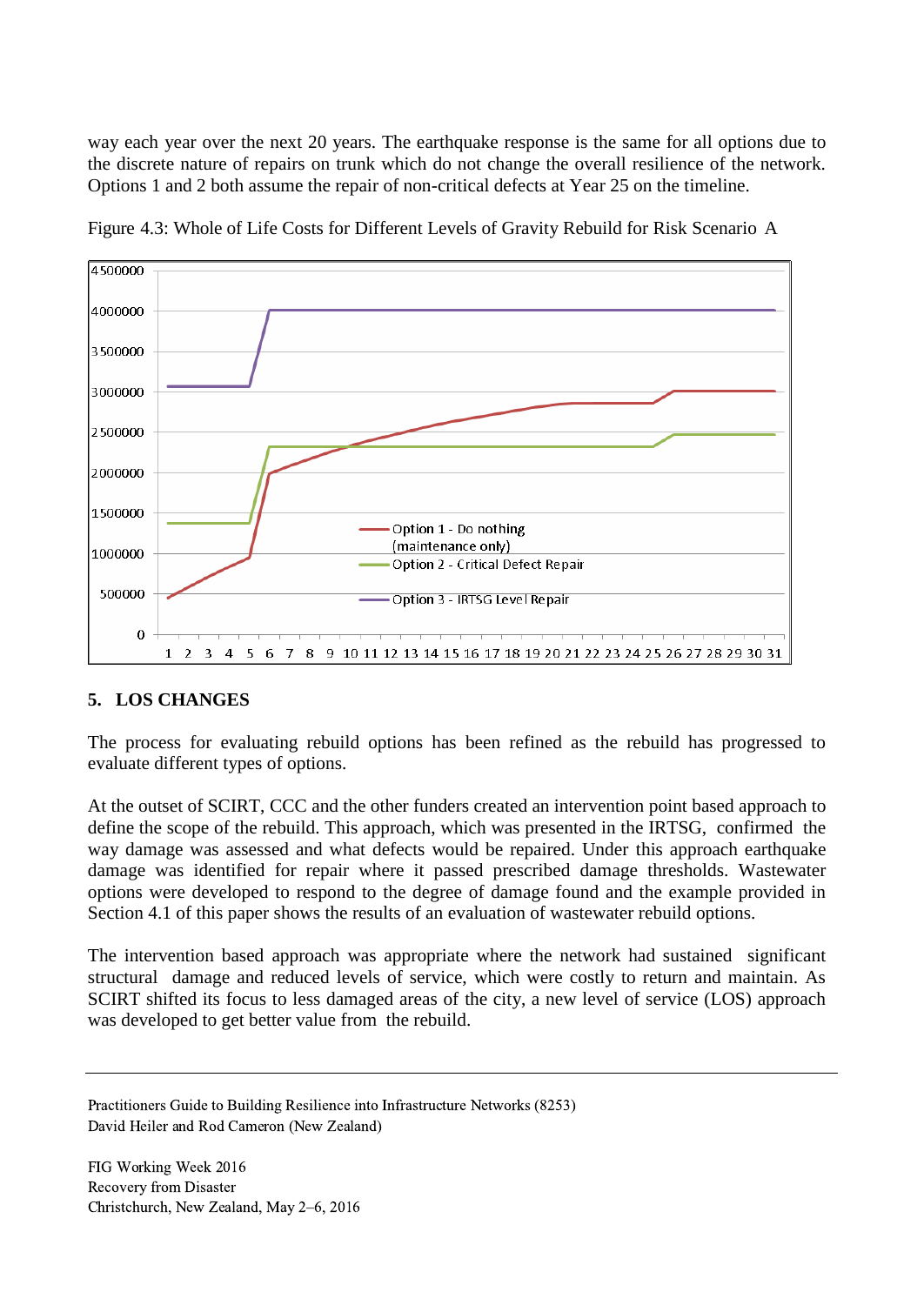way each year over the next 20 years. The earthquake response is the same for all options due to the discrete nature of repairs on trunk which do not change the overall resilience of the network. Options 1 and 2 both assume the repair of non-critical defects at Year 25 on the timeline.



Figure 4.3: Whole of Life Costs for Different Levels of Gravity Rebuild for Risk Scenario A

## **5. LOS CHANGES**

The process for evaluating rebuild options has been refined as the rebuild has progressed to evaluate different types of options.

At the outset of SCIRT, CCC and the other funders created an intervention point based approach to define the scope of the rebuild. This approach, which was presented in the IRTSG, confirmed the way damage was assessed and what defects would be repaired. Under this approach earthquake damage was identified for repair where it passed prescribed damage thresholds. Wastewater options were developed to respond to the degree of damage found and the example provided in Section 4.1 of this paper shows the results of an evaluation of wastewater rebuild options.

The intervention based approach was appropriate where the network had sustained significant structural damage and reduced levels of service, which were costly to return and maintain. As SCIRT shifted its focus to less damaged areas of the city, a new level of service (LOS) approach was developed to get better value from the rebuild.

Practitioners Guide to Building Resilience into Infrastructure Networks (8253) David Heiler and Rod Cameron (New Zealand)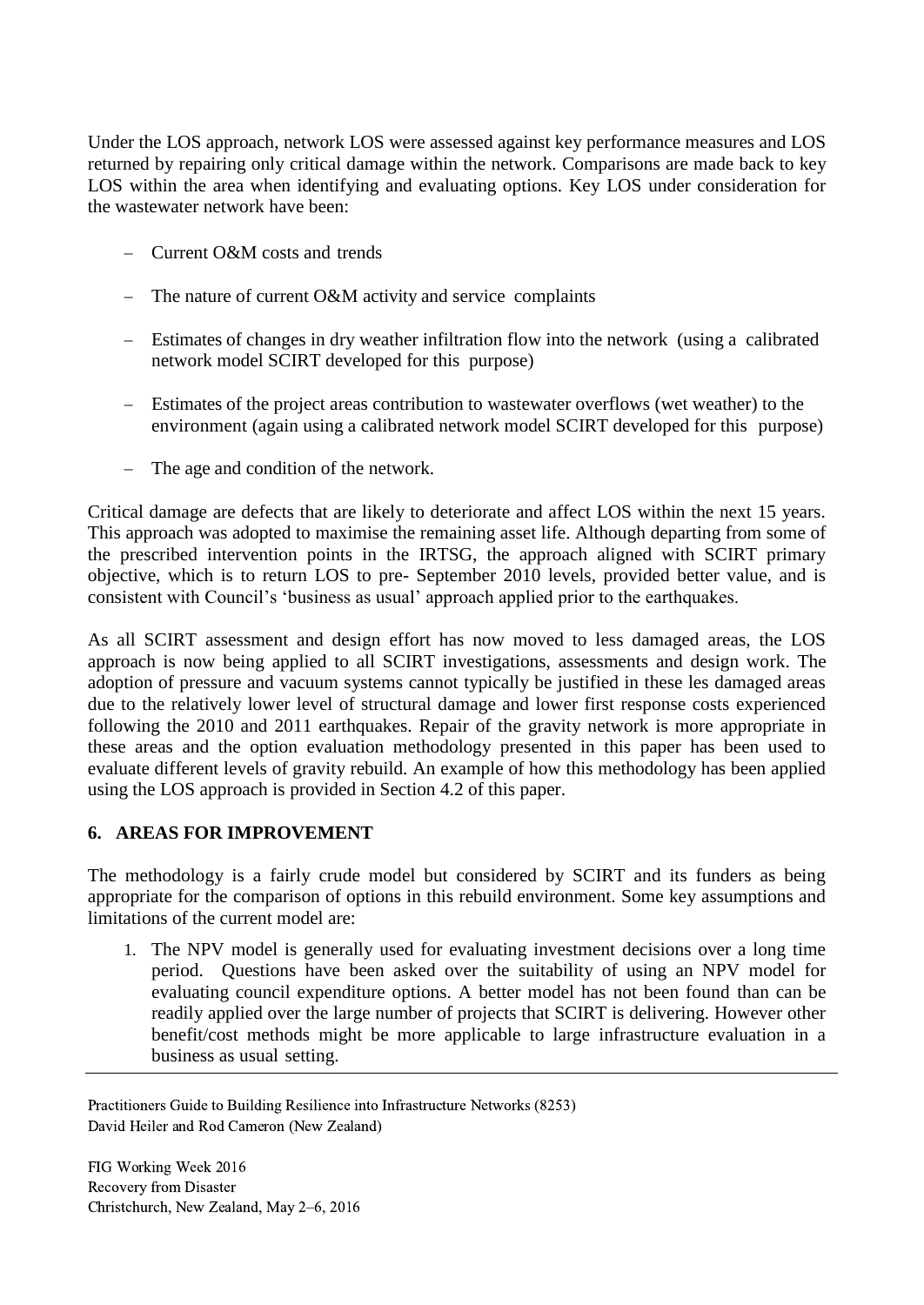Under the LOS approach, network LOS were assessed against key performance measures and LOS returned by repairing only critical damage within the network. Comparisons are made back to key LOS within the area when identifying and evaluating options. Key LOS under consideration for the wastewater network have been:

- Current O&M costs and trends
- The nature of current  $O\&M$  activity and service complaints
- Estimates of changes in dry weather infiltration flow into the network (using a calibrated network model SCIRT developed for this purpose)
- Estimates of the project areas contribution to wastewater overflows (wet weather) to the environment (again using a calibrated network model SCIRT developed for this purpose)
- The age and condition of the network.

Critical damage are defects that are likely to deteriorate and affect LOS within the next 15 years. This approach was adopted to maximise the remaining asset life. Although departing from some of the prescribed intervention points in the IRTSG, the approach aligned with SCIRT primary objective, which is to return LOS to pre- September 2010 levels, provided better value, and is consistent with Council's 'business as usual' approach applied prior to the earthquakes.

As all SCIRT assessment and design effort has now moved to less damaged areas, the LOS approach is now being applied to all SCIRT investigations, assessments and design work. The adoption of pressure and vacuum systems cannot typically be justified in these les damaged areas due to the relatively lower level of structural damage and lower first response costs experienced following the 2010 and 2011 earthquakes. Repair of the gravity network is more appropriate in these areas and the option evaluation methodology presented in this paper has been used to evaluate different levels of gravity rebuild. An example of how this methodology has been applied using the LOS approach is provided in Section 4.2 of this paper.

## **6. AREAS FOR IMPROVEMENT**

The methodology is a fairly crude model but considered by SCIRT and its funders as being appropriate for the comparison of options in this rebuild environment. Some key assumptions and limitations of the current model are:

1. The NPV model is generally used for evaluating investment decisions over a long time period. Questions have been asked over the suitability of using an NPV model for evaluating council expenditure options. A better model has not been found than can be readily applied over the large number of projects that SCIRT is delivering. However other benefit/cost methods might be more applicable to large infrastructure evaluation in a business as usual setting.

Practitioners Guide to Building Resilience into Infrastructure Networks (8253) David Heiler and Rod Cameron (New Zealand)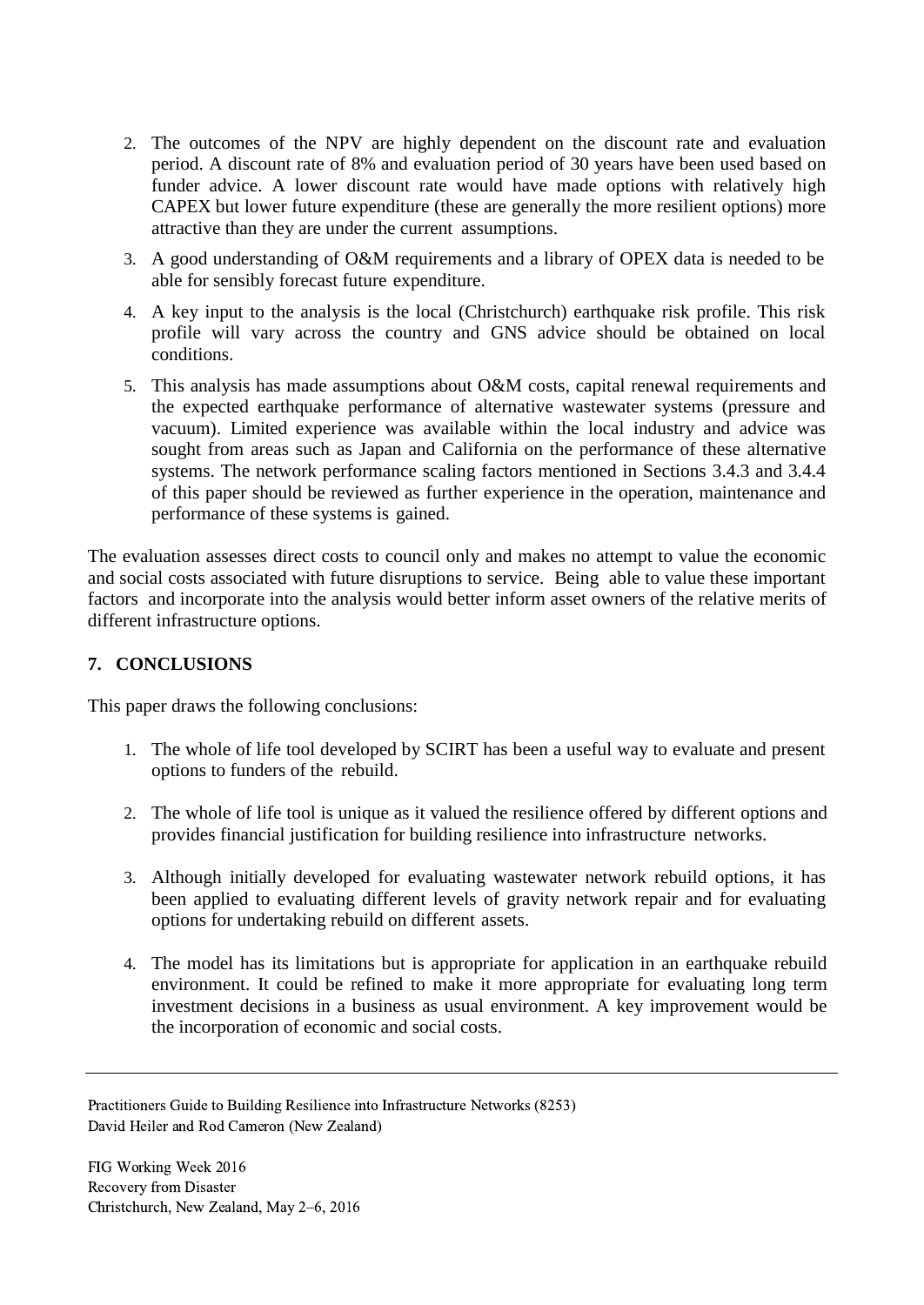- 2. The outcomes of the NPV are highly dependent on the discount rate and evaluation period. A discount rate of 8% and evaluation period of 30 years have been used based on funder advice. A lower discount rate would have made options with relatively high CAPEX but lower future expenditure (these are generally the more resilient options) more attractive than they are under the current assumptions.
- 3. A good understanding of O&M requirements and a library of OPEX data is needed to be able for sensibly forecast future expenditure.
- 4. A key input to the analysis is the local (Christchurch) earthquake risk profile. This risk profile will vary across the country and GNS advice should be obtained on local conditions.
- 5. This analysis has made assumptions about O&M costs, capital renewal requirements and the expected earthquake performance of alternative wastewater systems (pressure and vacuum). Limited experience was available within the local industry and advice was sought from areas such as Japan and California on the performance of these alternative systems. The network performance scaling factors mentioned in Sections 3.4.3 and 3.4.4 of this paper should be reviewed as further experience in the operation, maintenance and performance of these systems is gained.

The evaluation assesses direct costs to council only and makes no attempt to value the economic and social costs associated with future disruptions to service. Being able to value these important factors and incorporate into the analysis would better inform asset owners of the relative merits of different infrastructure options.

### **7. CONCLUSIONS**

This paper draws the following conclusions:

- 1. The whole of life tool developed by SCIRT has been a useful way to evaluate and present options to funders of the rebuild.
- 2. The whole of life tool is unique as it valued the resilience offered by different options and provides financial justification for building resilience into infrastructure networks.
- 3. Although initially developed for evaluating wastewater network rebuild options, it has been applied to evaluating different levels of gravity network repair and for evaluating options for undertaking rebuild on different assets.
- 4. The model has its limitations but is appropriate for application in an earthquake rebuild environment. It could be refined to make it more appropriate for evaluating long term investment decisions in a business as usual environment. A key improvement would be the incorporation of economic and social costs.

Practitioners Guide to Building Resilience into Infrastructure Networks (8253) David Heiler and Rod Cameron (New Zealand)